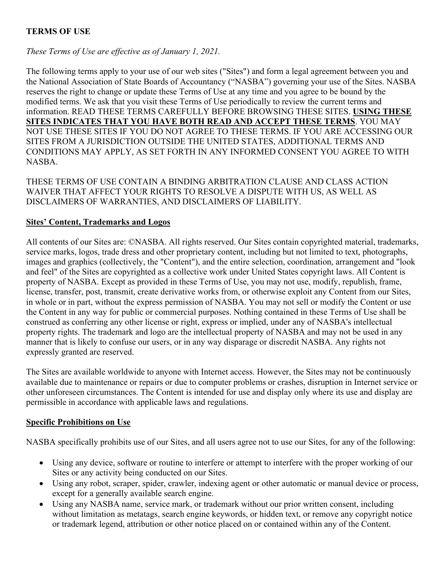# **TERMS OF USE**

# *These Terms of Use are effective as of January 1, 2021.*

The following terms apply to your use of our web sites ("Sites") and form a legal agreement between you and the National Association of State Boards of Accountancy ("NASBA") governing your use of the Sites. NASBA reserves the right to change or update these Terms of Use at any time and you agree to be bound by the modified terms. We ask that you visit these Terms of Use periodically to review the current terms and information. READ THESE TERMS CAREFULLY BEFORE BROWSING THESE SITES. **USING THESE SITES INDICATES THAT YOU HAVE BOTH READ AND ACCEPT THESE TERMS**. YOU MAY NOT USE THESE SITES IF YOU DO NOT AGREE TO THESE TERMS. IF YOU ARE ACCESSING OUR SITES FROM A JURISDICTION OUTSIDE THE UNITED STATES, ADDITIONAL TERMS AND CONDITIONS MAY APPLY, AS SET FORTH IN ANY INFORMED CONSENT YOU AGREE TO WITH NASBA.

THESE TERMS OF USE CONTAIN A BINDING ARBITRATION CLAUSE AND CLASS ACTION WAIVER THAT AFFECT YOUR RIGHTS TO RESOLVE A DISPUTE WITH US, AS WELL AS DISCLAIMERS OF WARRANTIES, AND DISCLAIMERS OF LIABILITY.

#### **Sites' Content, Trademarks and Logos**

All contents of our Sites are: ©NASBA. All rights reserved. Our Sites contain copyrighted material, trademarks, service marks, logos, trade dress and other proprietary content, including but not limited to text, photographs, images and graphics (collectively, the "Content"), and the entire selection, coordination, arrangement and "look and feel" of the Sites are copyrighted as a collective work under United States copyright laws. All Content is property of NASBA. Except as provided in these Terms of Use, you may not use, modify, republish, frame, license, transfer, post, transmit, create derivative works from, or otherwise exploit any Content from our Sites, in whole or in part, without the express permission of NASBA. You may not sell or modify the Content or use the Content in any way for public or commercial purposes. Nothing contained in these Terms of Use shall be construed as conferring any other license or right, express or implied, under any of NASBA's intellectual property rights. The trademark and logo are the intellectual property of NASBA and may not be used in any manner that is likely to confuse our users, or in any way disparage or discredit NASBA. Any rights not expressly granted are reserved.

The Sites are available worldwide to anyone with Internet access. However, the Sites may not be continuously available due to maintenance or repairs or due to computer problems or crashes, disruption in Internet service or other unforeseen circumstances. The Content is intended for use and display only where its use and display are permissible in accordance with applicable laws and regulations.

#### **Specific Prohibitions on Use**

NASBA specifically prohibits use of our Sites, and all users agree not to use our Sites, for any of the following:

- Using any device, software or routine to interfere or attempt to interfere with the proper working of our Sites or any activity being conducted on our Sites.
- Using any robot, scraper, spider, crawler, indexing agent or other automatic or manual device or process, except for a generally available search engine.
- Using any NASBA name, service mark, or trademark without our prior written consent, including without limitation as metatags, search engine keywords, or hidden text, or remove any copyright notice or trademark legend, attribution or other notice placed on or contained within any of the Content.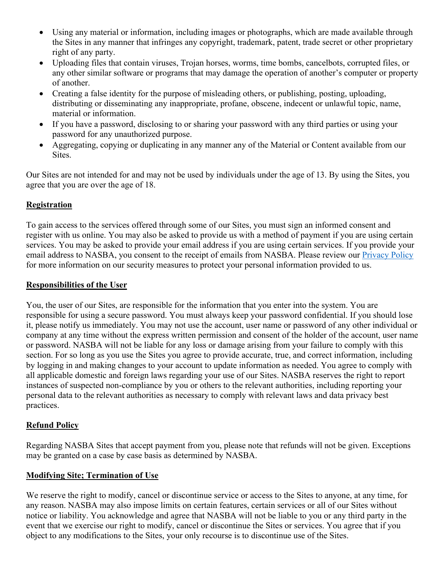- Using any material or information, including images or photographs, which are made available through the Sites in any manner that infringes any copyright, trademark, patent, trade secret or other proprietary right of any party.
- Uploading files that contain viruses, Trojan horses, worms, time bombs, cancelbots, corrupted files, or any other similar software or programs that may damage the operation of another's computer or property of another.
- Creating a false identity for the purpose of misleading others, or publishing, posting, uploading, distributing or disseminating any inappropriate, profane, obscene, indecent or unlawful topic, name, material or information.
- If you have a password, disclosing to or sharing your password with any third parties or using your password for any unauthorized purpose.
- Aggregating, copying or duplicating in any manner any of the Material or Content available from our Sites.

Our Sites are not intended for and may not be used by individuals under the age of 13. By using the Sites, you agree that you are over the age of 18.

## **Registration**

To gain access to the services offered through some of our Sites, you must sign an informed consent and register with us online. You may also be asked to provide us with a method of payment if you are using certain services. You may be asked to provide your email address if you are using certain services. If you provide your email address to NASBA, you consent to the receipt of emails from NASBA. Please review our [Privacy Policy](https://nasba.org/app/uploads/2020/10/NASBA-privacy-policy-2020-1028.pdf) for more information on our security measures to protect your personal information provided to us.

### **Responsibilities of the User**

You, the user of our Sites, are responsible for the information that you enter into the system. You are responsible for using a secure password. You must always keep your password confidential. If you should lose it, please notify us immediately. You may not use the account, user name or password of any other individual or company at any time without the express written permission and consent of the holder of the account, user name or password. NASBA will not be liable for any loss or damage arising from your failure to comply with this section. For so long as you use the Sites you agree to provide accurate, true, and correct information, including by logging in and making changes to your account to update information as needed. You agree to comply with all applicable domestic and foreign laws regarding your use of our Sites. NASBA reserves the right to report instances of suspected non-compliance by you or others to the relevant authorities, including reporting your personal data to the relevant authorities as necessary to comply with relevant laws and data privacy best practices.

# **Refund Policy**

Regarding NASBA Sites that accept payment from you, please note that refunds will not be given. Exceptions may be granted on a case by case basis as determined by NASBA.

# **Modifying Site; Termination of Use**

We reserve the right to modify, cancel or discontinue service or access to the Sites to anyone, at any time, for any reason. NASBA may also impose limits on certain features, certain services or all of our Sites without notice or liability. You acknowledge and agree that NASBA will not be liable to you or any third party in the event that we exercise our right to modify, cancel or discontinue the Sites or services. You agree that if you object to any modifications to the Sites, your only recourse is to discontinue use of the Sites.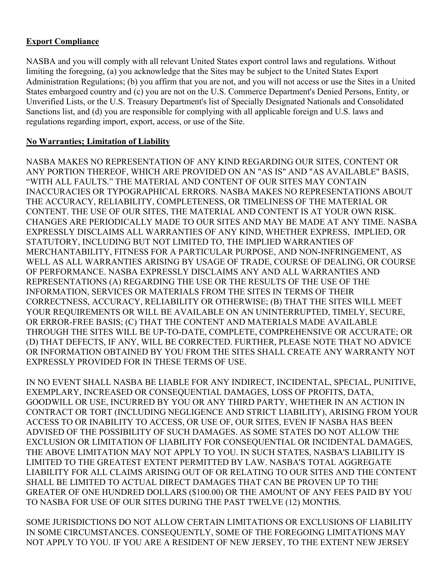# **Export Compliance**

NASBA and you will comply with all relevant United States export control laws and regulations. Without limiting the foregoing, (a) you acknowledge that the Sites may be subject to the United States Export Administration Regulations; (b) you affirm that you are not, and you will not access or use the Sites in a United States embargoed country and (c) you are not on the U.S. Commerce Department's Denied Persons, Entity, or Unverified Lists, or the U.S. Treasury Department's list of Specially Designated Nationals and Consolidated Sanctions list, and (d) you are responsible for complying with all applicable foreign and U.S. laws and regulations regarding import, export, access, or use of the Site.

# **No Warranties; Limitation of Liability**

NASBA MAKES NO REPRESENTATION OF ANY KIND REGARDING OUR SITES, CONTENT OR ANY PORTION THEREOF, WHICH ARE PROVIDED ON AN "AS IS" AND "AS AVAILABLE" BASIS, "WITH ALL FAULTS." THE MATERIAL AND CONTENT OF OUR SITES MAY CONTAIN INACCURACIES OR TYPOGRAPHICAL ERRORS. NASBA MAKES NO REPRESENTATIONS ABOUT THE ACCURACY, RELIABILITY, COMPLETENESS, OR TIMELINESS OF THE MATERIAL OR CONTENT. THE USE OF OUR SITES, THE MATERIAL AND CONTENT IS AT YOUR OWN RISK. CHANGES ARE PERIODICALLY MADE TO OUR SITES AND MAY BE MADE AT ANY TIME. NASBA EXPRESSLY DISCLAIMS ALL WARRANTIES OF ANY KIND, WHETHER EXPRESS, IMPLIED, OR STATUTORY, INCLUDING BUT NOT LIMITED TO, THE IMPLIED WARRANTIES OF MERCHANTABILITY, FITNESS FOR A PARTICULAR PURPOSE, AND NON-INFRINGEMENT, AS WELL AS ALL WARRANTIES ARISING BY USAGE OF TRADE, COURSE OF DEALING, OR COURSE OF PERFORMANCE. NASBA EXPRESSLY DISCLAIMS ANY AND ALL WARRANTIES AND REPRESENTATIONS (A) REGARDING THE USE OR THE RESULTS OF THE USE OF THE INFORMATION, SERVICES OR MATERIALS FROM THE SITES IN TERMS OF THEIR CORRECTNESS, ACCURACY, RELIABILITY OR OTHERWISE; (B) THAT THE SITES WILL MEET YOUR REQUIREMENTS OR WILL BE AVAILABLE ON AN UNINTERRUPTED, TIMELY, SECURE, OR ERROR-FREE BASIS; (C) THAT THE CONTENT AND MATERIALS MADE AVAILABLE THROUGH THE SITES WILL BE UP-TO-DATE, COMPLETE, COMPREHENSIVE OR ACCURATE; OR (D) THAT DEFECTS, IF ANY, WILL BE CORRECTED. FURTHER, PLEASE NOTE THAT NO ADVICE OR INFORMATION OBTAINED BY YOU FROM THE SITES SHALL CREATE ANY WARRANTY NOT EXPRESSLY PROVIDED FOR IN THESE TERMS OF USE.

IN NO EVENT SHALL NASBA BE LIABLE FOR ANY INDIRECT, INCIDENTAL, SPECIAL, PUNITIVE, EXEMPLARY, INCREASED OR CONSEQUENTIAL DAMAGES, LOSS OF PROFITS, DATA, GOODWILL OR USE, INCURRED BY YOU OR ANY THIRD PARTY, WHETHER IN AN ACTION IN CONTRACT OR TORT (INCLUDING NEGLIGENCE AND STRICT LIABILITY), ARISING FROM YOUR ACCESS TO OR INABILITY TO ACCESS, OR USE OF, OUR SITES, EVEN IF NASBA HAS BEEN ADVISED OF THE POSSIBILITY OF SUCH DAMAGES. AS SOME STATES DO NOT ALLOW THE EXCLUSION OR LIMITATION OF LIABILITY FOR CONSEQUENTIAL OR INCIDENTAL DAMAGES, THE ABOVE LIMITATION MAY NOT APPLY TO YOU. IN SUCH STATES, NASBA'S LIABILITY IS LIMITED TO THE GREATEST EXTENT PERMITTED BY LAW. NASBA'S TOTAL AGGREGATE LIABILITY FOR ALL CLAIMS ARISING OUT OF OR RELATING TO OUR SITES AND THE CONTENT SHALL BE LIMITED TO ACTUAL DIRECT DAMAGES THAT CAN BE PROVEN UP TO THE GREATER OF ONE HUNDRED DOLLARS (\$100.00) OR THE AMOUNT OF ANY FEES PAID BY YOU TO NASBA FOR USE OF OUR SITES DURING THE PAST TWELVE (12) MONTHS.

SOME JURISDICTIONS DO NOT ALLOW CERTAIN LIMITATIONS OR EXCLUSIONS OF LIABILITY IN SOME CIRCUMSTANCES. CONSEQUENTLY, SOME OF THE FOREGOING LIMITATIONS MAY NOT APPLY TO YOU. IF YOU ARE A RESIDENT OF NEW JERSEY, TO THE EXTENT NEW JERSEY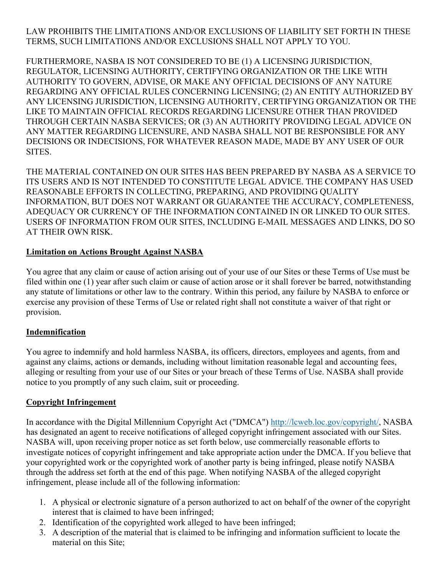### LAW PROHIBITS THE LIMITATIONS AND/OR EXCLUSIONS OF LIABILITY SET FORTH IN THESE TERMS, SUCH LIMITATIONS AND/OR EXCLUSIONS SHALL NOT APPLY TO YOU.

FURTHERMORE, NASBA IS NOT CONSIDERED TO BE (1) A LICENSING JURISDICTION, REGULATOR, LICENSING AUTHORITY, CERTIFYING ORGANIZATION OR THE LIKE WITH AUTHORITY TO GOVERN, ADVISE, OR MAKE ANY OFFICIAL DECISIONS OF ANY NATURE REGARDING ANY OFFICIAL RULES CONCERNING LICENSING; (2) AN ENTITY AUTHORIZED BY ANY LICENSING JURISDICTION, LICENSING AUTHORITY, CERTIFYING ORGANIZATION OR THE LIKE TO MAINTAIN OFFICIAL RECORDS REGARDING LICENSURE OTHER THAN PROVIDED THROUGH CERTAIN NASBA SERVICES; OR (3) AN AUTHORITY PROVIDING LEGAL ADVICE ON ANY MATTER REGARDING LICENSURE, AND NASBA SHALL NOT BE RESPONSIBLE FOR ANY DECISIONS OR INDECISIONS, FOR WHATEVER REASON MADE, MADE BY ANY USER OF OUR SITES.

THE MATERIAL CONTAINED ON OUR SITES HAS BEEN PREPARED BY NASBA AS A SERVICE TO ITS USERS AND IS NOT INTENDED TO CONSTITUTE LEGAL ADVICE. THE COMPANY HAS USED REASONABLE EFFORTS IN COLLECTING, PREPARING, AND PROVIDING QUALITY INFORMATION, BUT DOES NOT WARRANT OR GUARANTEE THE ACCURACY, COMPLETENESS, ADEQUACY OR CURRENCY OF THE INFORMATION CONTAINED IN OR LINKED TO OUR SITES. USERS OF INFORMATION FROM OUR SITES, INCLUDING E-MAIL MESSAGES AND LINKS, DO SO AT THEIR OWN RISK.

#### **Limitation on Actions Brought Against NASBA**

You agree that any claim or cause of action arising out of your use of our Sites or these Terms of Use must be filed within one (1) year after such claim or cause of action arose or it shall forever be barred, notwithstanding any statute of limitations or other law to the contrary. Within this period, any failure by NASBA to enforce or exercise any provision of these Terms of Use or related right shall not constitute a waiver of that right or provision.

#### **Indemnification**

You agree to indemnify and hold harmless NASBA, its officers, directors, employees and agents, from and against any claims, actions or demands, including without limitation reasonable legal and accounting fees, alleging or resulting from your use of our Sites or your breach of these Terms of Use. NASBA shall provide notice to you promptly of any such claim, suit or proceeding.

#### **Copyright Infringement**

In accordance with the Digital Millennium Copyright Act ("DMCA") [http://lcweb.loc.gov/copyright/,](http://lcweb.loc.gov/copyright/) NASBA has designated an agent to receive notifications of alleged copyright infringement associated with our Sites. NASBA will, upon receiving proper notice as set forth below, use commercially reasonable efforts to investigate notices of copyright infringement and take appropriate action under the DMCA. If you believe that your copyrighted work or the copyrighted work of another party is being infringed, please notify NASBA through the address set forth at the end of this page. When notifying NASBA of the alleged copyright infringement, please include all of the following information:

- 1. A physical or electronic signature of a person authorized to act on behalf of the owner of the copyright interest that is claimed to have been infringed;
- 2. Identification of the copyrighted work alleged to have been infringed;
- 3. A description of the material that is claimed to be infringing and information sufficient to locate the material on this Site;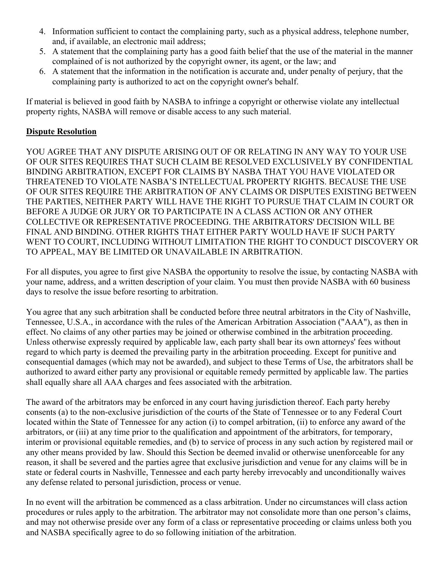- 4. Information sufficient to contact the complaining party, such as a physical address, telephone number, and, if available, an electronic mail address;
- 5. A statement that the complaining party has a good faith belief that the use of the material in the manner complained of is not authorized by the copyright owner, its agent, or the law; and
- 6. A statement that the information in the notification is accurate and, under penalty of perjury, that the complaining party is authorized to act on the copyright owner's behalf.

If material is believed in good faith by NASBA to infringe a copyright or otherwise violate any intellectual property rights, NASBA will remove or disable access to any such material.

# **Dispute Resolution**

YOU AGREE THAT ANY DISPUTE ARISING OUT OF OR RELATING IN ANY WAY TO YOUR USE OF OUR SITES REQUIRES THAT SUCH CLAIM BE RESOLVED EXCLUSIVELY BY CONFIDENTIAL BINDING ARBITRATION, EXCEPT FOR CLAIMS BY NASBA THAT YOU HAVE VIOLATED OR THREATENED TO VIOLATE NASBA'S INTELLECTUAL PROPERTY RIGHTS. BECAUSE THE USE OF OUR SITES REQUIRE THE ARBITRATION OF ANY CLAIMS OR DISPUTES EXISTING BETWEEN THE PARTIES, NEITHER PARTY WILL HAVE THE RIGHT TO PURSUE THAT CLAIM IN COURT OR BEFORE A JUDGE OR JURY OR TO PARTICIPATE IN A CLASS ACTION OR ANY OTHER COLLECTIVE OR REPRESENTATIVE PROCEEDING. THE ARBITRATORS' DECISION WILL BE FINAL AND BINDING. OTHER RIGHTS THAT EITHER PARTY WOULD HAVE IF SUCH PARTY WENT TO COURT, INCLUDING WITHOUT LIMITATION THE RIGHT TO CONDUCT DISCOVERY OR TO APPEAL, MAY BE LIMITED OR UNAVAILABLE IN ARBITRATION.

For all disputes, you agree to first give NASBA the opportunity to resolve the issue, by contacting NASBA with your name, address, and a written description of your claim. You must then provide NASBA with 60 business days to resolve the issue before resorting to arbitration.

You agree that any such arbitration shall be conducted before three neutral arbitrators in the City of Nashville, Tennessee, U.S.A., in accordance with the rules of the American Arbitration Association ("AAA"), as then in effect. No claims of any other parties may be joined or otherwise combined in the arbitration proceeding. Unless otherwise expressly required by applicable law, each party shall bear its own attorneys' fees without regard to which party is deemed the prevailing party in the arbitration proceeding. Except for punitive and consequential damages (which may not be awarded), and subject to these Terms of Use, the arbitrators shall be authorized to award either party any provisional or equitable remedy permitted by applicable law. The parties shall equally share all AAA charges and fees associated with the arbitration.

The award of the arbitrators may be enforced in any court having jurisdiction thereof. Each party hereby consents (a) to the non-exclusive jurisdiction of the courts of the State of Tennessee or to any Federal Court located within the State of Tennessee for any action (i) to compel arbitration, (ii) to enforce any award of the arbitrators, or (iii) at any time prior to the qualification and appointment of the arbitrators, for temporary, interim or provisional equitable remedies, and (b) to service of process in any such action by registered mail or any other means provided by law. Should this Section be deemed invalid or otherwise unenforceable for any reason, it shall be severed and the parties agree that exclusive jurisdiction and venue for any claims will be in state or federal courts in Nashville, Tennessee and each party hereby irrevocably and unconditionally waives any defense related to personal jurisdiction, process or venue.

In no event will the arbitration be commenced as a class arbitration. Under no circumstances will class action procedures or rules apply to the arbitration. The arbitrator may not consolidate more than one person's claims, and may not otherwise preside over any form of a class or representative proceeding or claims unless both you and NASBA specifically agree to do so following initiation of the arbitration.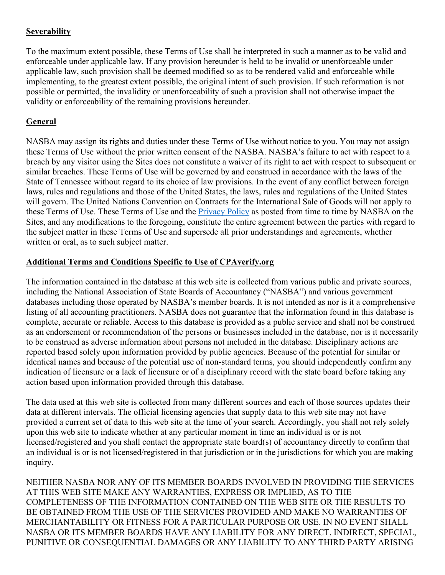# **Severability**

To the maximum extent possible, these Terms of Use shall be interpreted in such a manner as to be valid and enforceable under applicable law. If any provision hereunder is held to be invalid or unenforceable under applicable law, such provision shall be deemed modified so as to be rendered valid and enforceable while implementing, to the greatest extent possible, the original intent of such provision. If such reformation is not possible or permitted, the invalidity or unenforceability of such a provision shall not otherwise impact the validity or enforceability of the remaining provisions hereunder.

# **General**

NASBA may assign its rights and duties under these Terms of Use without notice to you. You may not assign these Terms of Use without the prior written consent of the NASBA. NASBA's failure to act with respect to a breach by any visitor using the Sites does not constitute a waiver of its right to act with respect to subsequent or similar breaches. These Terms of Use will be governed by and construed in accordance with the laws of the State of Tennessee without regard to its choice of law provisions. In the event of any conflict between foreign laws, rules and regulations and those of the United States, the laws, rules and regulations of the United States will govern. The United Nations Convention on Contracts for the International Sale of Goods will not apply to these Terms of Use. These Terms of Use and the *Privacy Policy* as posted from time to time by NASBA on the Sites, and any modifications to the foregoing, constitute the entire agreement between the parties with regard to the subject matter in these Terms of Use and supersede all prior understandings and agreements, whether written or oral, as to such subject matter.

#### **Additional Terms and Conditions Specific to Use of CPAverify.org**

The information contained in the database at this web site is collected from various public and private sources, including the National Association of State Boards of Accountancy ("NASBA") and various government databases including those operated by NASBA's member boards. It is not intended as nor is it a comprehensive listing of all accounting practitioners. NASBA does not guarantee that the information found in this database is complete, accurate or reliable. Access to this database is provided as a public service and shall not be construed as an endorsement or recommendation of the persons or businesses included in the database, nor is it necessarily to be construed as adverse information about persons not included in the database. Disciplinary actions are reported based solely upon information provided by public agencies. Because of the potential for similar or identical names and because of the potential use of non-standard terms, you should independently confirm any indication of licensure or a lack of licensure or of a disciplinary record with the state board before taking any action based upon information provided through this database.

The data used at this web site is collected from many different sources and each of those sources updates their data at different intervals. The official licensing agencies that supply data to this web site may not have provided a current set of data to this web site at the time of your search. Accordingly, you shall not rely solely upon this web site to indicate whether at any particular moment in time an individual is or is not licensed/registered and you shall contact the appropriate state board(s) of accountancy directly to confirm that an individual is or is not licensed/registered in that jurisdiction or in the jurisdictions for which you are making inquiry.

NEITHER NASBA NOR ANY OF ITS MEMBER BOARDS INVOLVED IN PROVIDING THE SERVICES AT THIS WEB SITE MAKE ANY WARRANTIES, EXPRESS OR IMPLIED, AS TO THE COMPLETENESS OF THE INFORMATION CONTAINED ON THE WEB SITE OR THE RESULTS TO BE OBTAINED FROM THE USE OF THE SERVICES PROVIDED AND MAKE NO WARRANTIES OF MERCHANTABILITY OR FITNESS FOR A PARTICULAR PURPOSE OR USE. IN NO EVENT SHALL NASBA OR ITS MEMBER BOARDS HAVE ANY LIABILITY FOR ANY DIRECT, INDIRECT, SPECIAL, PUNITIVE OR CONSEQUENTIAL DAMAGES OR ANY LIABILITY TO ANY THIRD PARTY ARISING